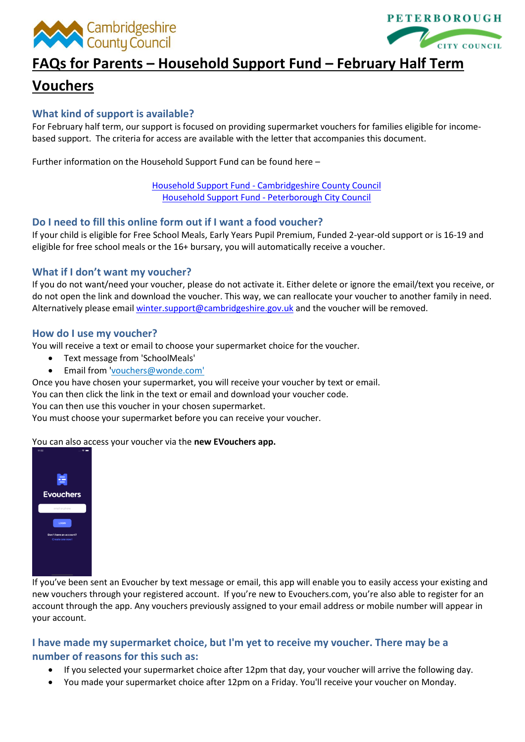



# **FAQs for Parents – Household Support Fund – February Half Term**

## **Vouchers**

## **What kind of support is available?**

For February half term, our support is focused on providing supermarket vouchers for families eligible for incomebased support. The criteria for access are available with the letter that accompanies this document.

Further information on the Household Support Fund can be found here –

Household Support Fund - [Cambridgeshire County Council](https://www.cambridgeshire.gov.uk/residents/coronavirus/household-support-fund) [Household Support Fund -](https://www.peterborough.gov.uk/healthcare/public-health/coronavirus/household-support-fund) Peterborough City Council

## **Do I need to fill this online form out if I want a food voucher?**

If your child is eligible for Free School Meals, Early Years Pupil Premium, Funded 2-year-old support or is 16-19 and eligible for free school meals or the 16+ bursary, you will automatically receive a voucher.

## **What if I don't want my voucher?**

If you do not want/need your voucher, please do not activate it. Either delete or ignore the email/text you receive, or do not open the link and download the voucher. This way, we can reallocate your voucher to another family in need. Alternatively please emai[l winter.support@cambridgeshire.gov.uk](mailto:winter.support@cambridgeshire.gov.uk) and the voucher will be removed.

## **How do I use my voucher?**

You will receive a text or email to choose your supermarket choice for the voucher.

- Text message from 'SchoolMeals'
- Email from ['vouchers@wonde.com'](mailto:vouchers@wonde.com)

Once you have chosen your supermarket, you will receive your voucher by text or email.

You can then click the link in the text or email and download your voucher code.

You can then use this voucher in your chosen supermarket.

You must choose your supermarket before you can receive your voucher.

You can also access your voucher via the **new EVouchers app.**



If you've been sent an Evoucher by text message or email, this app will enable you to easily access your existing and new vouchers through your registered account. If you're new to Evouchers.com, you're also able to register for an account through the app. Any vouchers previously assigned to your email address or mobile number will appear in your account.

## **I have made my supermarket choice, but I'm yet to receive my voucher. There may be a number of reasons for this such as:**

- If you selected your supermarket choice after 12pm that day, your voucher will arrive the following day.
- You made your supermarket choice after 12pm on a Friday. You'll receive your voucher on Monday.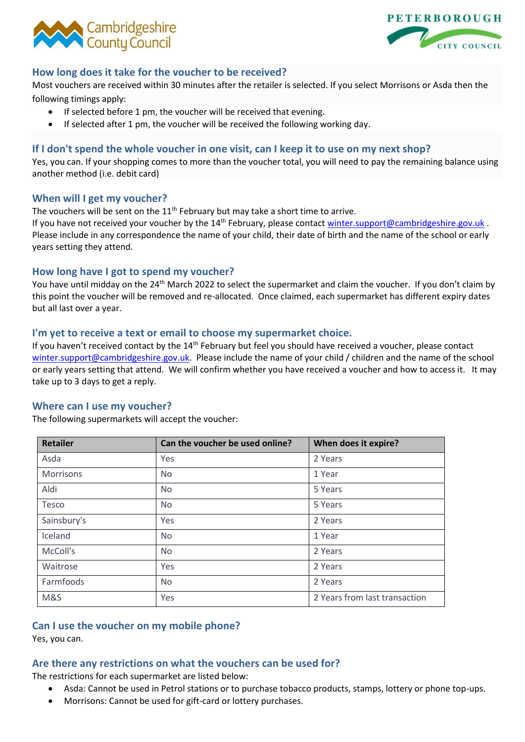



## **How long does it take for the voucher to be received?**

Most vouchers are received within 30 minutes after the retailer is selected. If you select Morrisons or Asda then the following timings apply:

- If selected before 1 pm, the voucher will be received that evening.
- If selected after 1 pm, the voucher will be received the following working day.

## **If I don't spend the whole voucher in one visit, can I keep it to use on my next shop?**

Yes, you can. If your shopping comes to more than the voucher total, you will need to pay the remaining balance using another method (i.e. debit card)

## **When will I get my voucher?**

The vouchers will be sent on the  $11<sup>th</sup>$  February but may take a short time to arrive.

If you have not received your voucher by the 14<sup>th</sup> February, please contact [winter.support@cambridgeshire.gov.uk](mailto:winter.support@cambridgeshire.gov.uk). Please include in any correspondence the name of your child, their date of birth and the name of the school or early years setting they attend.

## **How long have I got to spend my voucher?**

You have until midday on the 24<sup>th</sup> March 2022 to select the supermarket and claim the voucher. If you don't claim by this point the voucher will be removed and re-allocated. Once claimed, each supermarket has different expiry dates but all last over a year.

## **I'm yet to receive a text or email to choose my supermarket choice.**

If you haven't received contact by the 14<sup>th</sup> February but feel you should have received a voucher, please contact [winter.support@cambridgeshire.gov.uk.](mailto:winter.support@cambridgeshire.gov.uk) Please include the name of your child / children and the name of the school or early years setting that attend. We will confirm whether you have received a voucher and how to access it. It may take up to 3 days to get a reply.

#### **Where can I use my voucher?**

The following supermarkets will accept the voucher:

| <b>Retailer</b> | Can the voucher be used online? | When does it expire?          |
|-----------------|---------------------------------|-------------------------------|
| Asda            | Yes                             | 2 Years                       |
| Morrisons       | <b>No</b>                       | 1 Year                        |
| Aldi            | <b>No</b>                       | 5 Years                       |
| Tesco           | <b>No</b>                       | 5 Years                       |
| Sainsbury's     | Yes                             | 2 Years                       |
| Iceland         | <b>No</b>                       | 1 Year                        |
| McColl's        | <b>No</b>                       | 2 Years                       |
| Waitrose        | Yes                             | 2 Years                       |
| Farmfoods       | <b>No</b>                       | 2 Years                       |
| M&S             | Yes                             | 2 Years from last transaction |

## **Can I use the voucher on my mobile phone?**

Yes, you can.

## **Are there any restrictions on what the vouchers can be used for?**

The restrictions for each supermarket are listed below:

- Asda: Cannot be used in Petrol stations or to purchase tobacco products, stamps, lottery or phone top-ups.
- Morrisons: Cannot be used for gift-card or lottery purchases.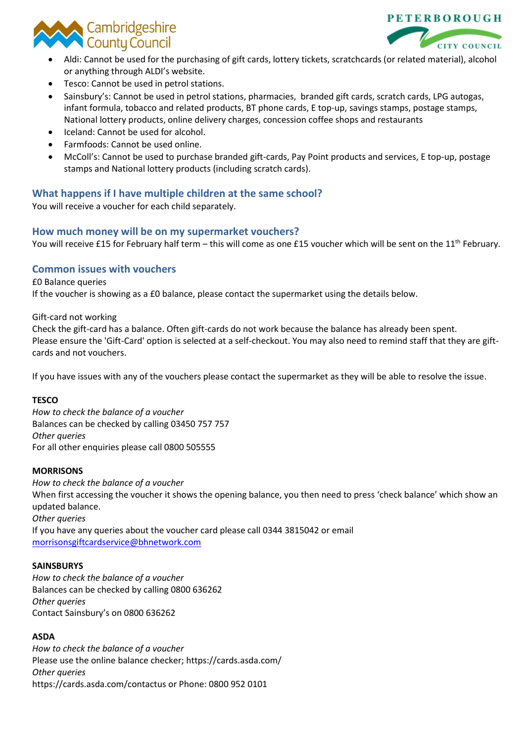



- Aldi: Cannot be used for the purchasing of gift cards, lottery tickets, scratchcards (or related material), alcohol or anything through ALDI's website.
- Tesco: Cannot be used in petrol stations.
- Sainsbury's: Cannot be used in petrol stations, pharmacies, branded gift cards, scratch cards, LPG autogas, infant formula, tobacco and related products, BT phone cards, E top-up, savings stamps, postage stamps, National lottery products, online delivery charges, concession coffee shops and restaurants
- Iceland: Cannot be used for alcohol.
- Farmfoods: Cannot be used online.
- McColl's: Cannot be used to purchase branded gift-cards, Pay Point products and services, E top-up, postage stamps and National lottery products (including scratch cards).

## **What happens if I have multiple children at the same school?**

You will receive a voucher for each child separately.

## **How much money will be on my supermarket vouchers?**

You will receive £15 for February half term – this will come as one £15 voucher which will be sent on the 11<sup>th</sup> February.

## **Common issues with vouchers**

#### £0 Balance queries

If the voucher is showing as a £0 balance, please contact the supermarket using the details below.

#### Gift-card not working

Check the gift-card has a balance. Often gift-cards do not work because the balance has already been spent. Please ensure the 'Gift-Card' option is selected at a self-checkout. You may also need to remind staff that they are giftcards and not vouchers.

If you have issues with any of the vouchers please contact the supermarket as they will be able to resolve the issue.

#### **TESCO**

*How to check the balance of a voucher* Balances can be checked by calling 03450 757 757 *Other queries* For all other enquiries please call 0800 505555

#### **MORRISONS**

*How to check the balance of a voucher* When first accessing the voucher it shows the opening balance, you then need to press 'check balance' which show an updated balance. *Other queries* If you have any queries about the voucher card please call 0344 3815042 or email [morrisonsgiftcardservice@bhnetwork.com](mailto:morrisonsgiftcardservice@bhnetwork.com)

#### **SAINSBURYS**

*How to check the balance of a voucher* Balances can be checked by calling 0800 636262 *Other queries* Contact Sainsbury's on 0800 636262

#### **ASDA**

*How to check the balance of a voucher* Please use the online balance checker; https://cards.asda.com/ *Other queries* https://cards.asda.com/contactus or Phone: 0800 952 0101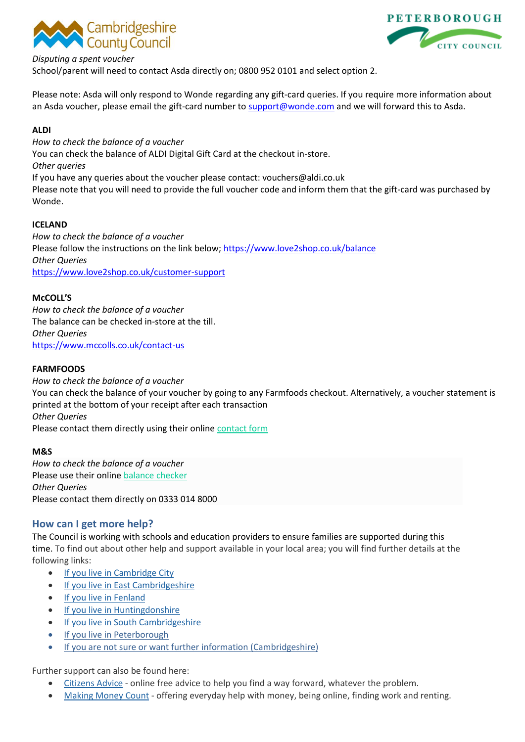



#### *Disputing a spent voucher*

School/parent will need to contact Asda directly on; 0800 952 0101 and select option 2.

Please note: Asda will only respond to Wonde regarding any gift-card queries. If you require more information about an Asda voucher, please email the gift-card number t[o support@wonde.com](mailto:support@wonde.com) and we will forward this to Asda.

#### **ALDI**

*How to check the balance of a voucher* You can check the balance of ALDI Digital Gift Card at the checkout in-store. *Other queries* If you have any queries about the voucher please contact: vouchers@aldi.co.uk Please note that you will need to provide the full voucher code and inform them that the gift-card was purchased by Wonde.

## **ICELAND**

*How to check the balance of a voucher* Please follow the instructions on the link below;<https://www.love2shop.co.uk/balance> *Other Queries* <https://www.love2shop.co.uk/customer-support>

#### **McCOLL'S**

*How to check the balance of a voucher* The balance can be checked in-store at the till. *Other Queries* <https://www.mccolls.co.uk/contact-us>

## **FARMFOODS**

*How to check the balance of a voucher* You can check the balance of your voucher by going to any Farmfoods checkout. Alternatively, a voucher statement is printed at the bottom of your receipt after each transaction *Other Queries* Please contact them directly using their online [contact form](https://www.farmfoods.co.uk/contact-us.php)

#### **M&S**

*How to check the balance of a voucher* Please use their online [balance checker](https://www.marksandspencer.com/MSGiftCardBalanceChecker) *Other Queries* Please contact them directly on 0333 014 8000

## **How can I get more help?**

The Council is working with schools and education providers to ensure families are supported during this time. To find out about other help and support available in your local area; you will find further details at the following links:

- [If you live in Cambridge City](https://www.cambridge.gov.uk/coronavirus)
- [If you live in East Cambridgeshire](https://www.eastcambs.gov.uk/content/coronavirus-information-residents)
- [If you live in Fenland](https://www.fenland.gov.uk/coronavirus)
- [If you live in Huntingdonshire](https://www.wearehuntingdonshire.org/)
- [If you live in South Cambridgeshire](https://www.scambs.gov.uk/coronavirus/)
- [If you live in Peterborough](https://www.peterborough.gov.uk/healthcare/public-health/coronavirus/coordination-hub)
- [If you are not sure or want further information \(Cambridgeshire\)](https://www.cambridgeshire.gov.uk/residents/coronavirus/covid-19-coordination-hub-your-community-needs-you)

Further support can also be found here:

- [Citizens Advice](https://www.citizensadvice.org.uk/) online free advice to help you find a way forward, whatever the problem.
- [Making Money Count](http://makingmoneycount.org.uk/help-in-a-crisis/) offering everyday help with money, being online, finding work and renting.